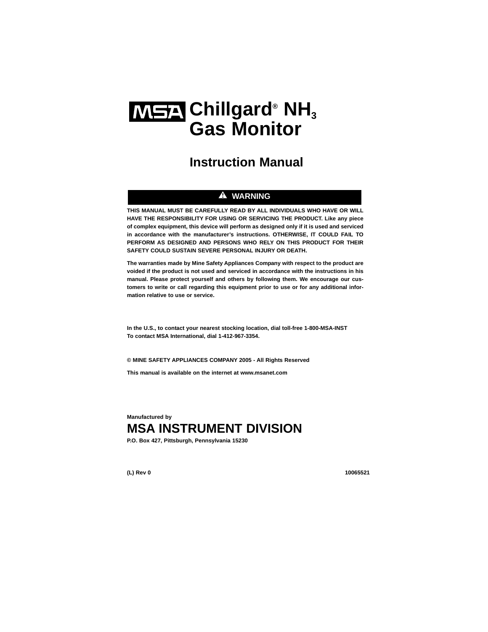# **MSA** Chillgard® NH<sub>3</sub> **Gas Monitor**

# **Instruction Manual**

#### **A** WARNING

**THIS MANUAL MUST BE CAREFULLY READ BY ALL INDIVIDUALS WHO HAVE OR WILL HAVE THE RESPONSIBILITY FOR USING OR SERVICING THE PRODUCT. Like any piece of complex equipment, this device will perform as designed only if it is used and serviced in accordance with the manufacturer's instructions. OTHERWISE, IT COULD FAIL TO PERFORM AS DESIGNED AND PERSONS WHO RELY ON THIS PRODUCT FOR THEIR SAFETY COULD SUSTAIN SEVERE PERSONAL INJURY OR DEATH.**

**The warranties made by Mine Safety Appliances Company with respect to the product are voided if the product is not used and serviced in accordance with the instructions in his manual. Please protect yourself and others by following them. We encourage our customers to write or call regarding this equipment prior to use or for any additional information relative to use or service.**

**In the U.S., to contact your nearest stocking location, dial toll-free 1-800-MSA-INST To contact MSA International, dial 1-412-967-3354.**

**© MINE SAFETY APPLIANCES COMPANY 2005 - All Rights Reserved**

**This manual is available on the internet at www.msanet.com**

**Manufactured by**

# **MSA INSTRUMENT DIVISION**

**P.O. Box 427, Pittsburgh, Pennsylvania 15230**

**(L) Rev 0 10065521**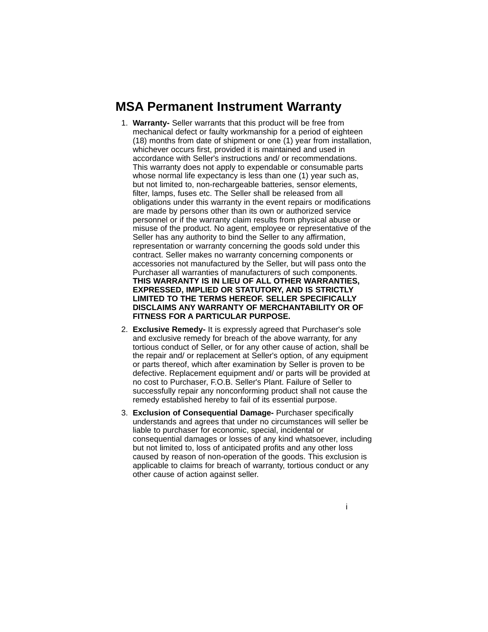# **MSA Permanent Instrument Warranty**

- 1. **Warranty-** Seller warrants that this product will be free from mechanical defect or faulty workmanship for a period of eighteen (18) months from date of shipment or one (1) year from installation, whichever occurs first, provided it is maintained and used in accordance with Seller's instructions and/ or recommendations. This warranty does not apply to expendable or consumable parts whose normal life expectancy is less than one (1) year such as, but not limited to, non-rechargeable batteries, sensor elements, filter, lamps, fuses etc. The Seller shall be released from all obligations under this warranty in the event repairs or modifications are made by persons other than its own or authorized service personnel or if the warranty claim results from physical abuse or misuse of the product. No agent, employee or representative of the Seller has any authority to bind the Seller to any affirmation, representation or warranty concerning the goods sold under this contract. Seller makes no warranty concerning components or accessories not manufactured by the Seller, but will pass onto the Purchaser all warranties of manufacturers of such components. **THIS WARRANTY IS IN LIEU OF ALL OTHER WARRANTIES, EXPRESSED, IMPLIED OR STATUTORY, AND IS STRICTLY LIMITED TO THE TERMS HEREOF. SELLER SPECIFICALLY DISCLAIMS ANY WARRANTY OF MERCHANTABILITY OR OF FITNESS FOR A PARTICULAR PURPOSE.**
- 2. **Exclusive Remedy-** It is expressly agreed that Purchaser's sole and exclusive remedy for breach of the above warranty, for any tortious conduct of Seller, or for any other cause of action, shall be the repair and/ or replacement at Seller's option, of any equipment or parts thereof, which after examination by Seller is proven to be defective. Replacement equipment and/ or parts will be provided at no cost to Purchaser, F.O.B. Seller's Plant. Failure of Seller to successfully repair any nonconforming product shall not cause the remedy established hereby to fail of its essential purpose.
- 3. **Exclusion of Consequential Damage-** Purchaser specifically understands and agrees that under no circumstances will seller be liable to purchaser for economic, special, incidental or consequential damages or losses of any kind whatsoever, including but not limited to, loss of anticipated profits and any other loss caused by reason of non-operation of the goods. This exclusion is applicable to claims for breach of warranty, tortious conduct or any other cause of action against seller.
	- i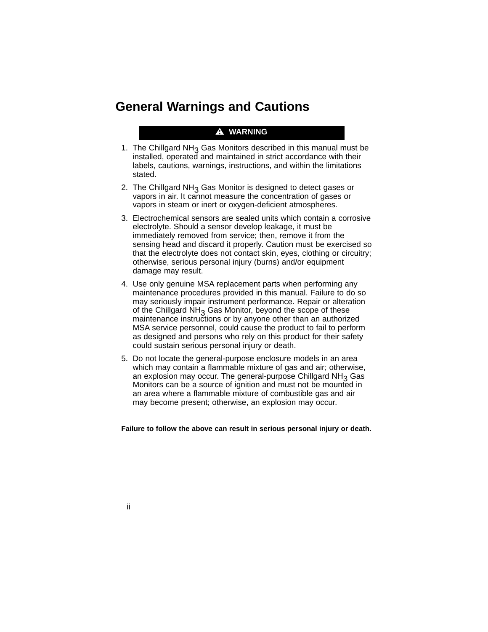# **General Warnings and Cautions**

#### $\triangle$  WARNING

- 1. The Chillgard  $NH<sub>3</sub>$  Gas Monitors described in this manual must be installed, operated and maintained in strict accordance with their labels, cautions, warnings, instructions, and within the limitations stated.
- 2. The Chillgard NH<sub>3</sub> Gas Monitor is designed to detect gases or vapors in air. It cannot measure the concentration of gases or vapors in steam or inert or oxygen-deficient atmospheres.
- 3. Electrochemical sensors are sealed units which contain a corrosive electrolyte. Should a sensor develop leakage, it must be immediately removed from service; then, remove it from the sensing head and discard it properly. Caution must be exercised so that the electrolyte does not contact skin, eyes, clothing or circuitry; otherwise, serious personal injury (burns) and/or equipment damage may result.
- 4. Use only genuine MSA replacement parts when performing any maintenance procedures provided in this manual. Failure to do so may seriously impair instrument performance. Repair or alteration of the Chillgard  $NH<sub>3</sub>$  Gas Monitor, beyond the scope of these maintenance instructions or by anyone other than an authorized MSA service personnel, could cause the product to fail to perform as designed and persons who rely on this product for their safety could sustain serious personal injury or death.
- 5. Do not locate the general-purpose enclosure models in an area which may contain a flammable mixture of gas and air; otherwise, an explosion may occur. The general-purpose Chillgard  $NH<sub>3</sub>$  Gas Monitors can be a source of ignition and must not be mounted in an area where a flammable mixture of combustible gas and air may become present; otherwise, an explosion may occur.

**Failure to follow the above can result in serious personal injury or death.**

ii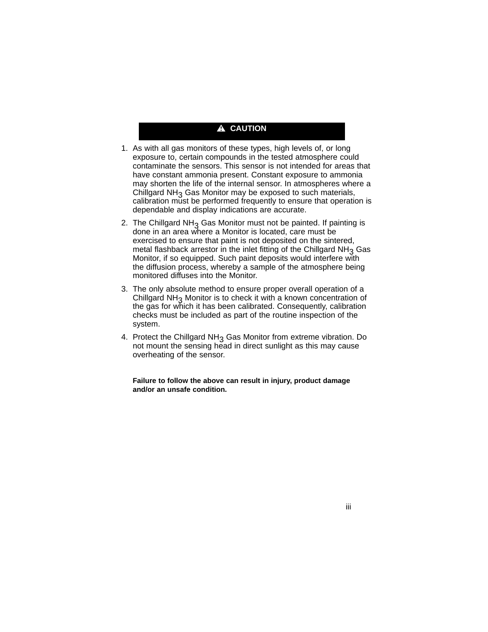### A CAUTION

- 1. As with all gas monitors of these types, high levels of, or long exposure to, certain compounds in the tested atmosphere could contaminate the sensors. This sensor is not intended for areas that have constant ammonia present. Constant exposure to ammonia may shorten the life of the internal sensor. In atmospheres where a Chillgard  $NH<sub>3</sub>$  Gas Monitor may be exposed to such materials, calibration must be performed frequently to ensure that operation is dependable and display indications are accurate.
- 2. The Chillgard NH<sub>3</sub> Gas Monitor must not be painted. If painting is done in an area where a Monitor is located, care must be exercised to ensure that paint is not deposited on the sintered, metal flashback arrestor in the inlet fitting of the Chillgard  $NH<sub>3</sub>$  Gas Monitor, if so equipped. Such paint deposits would interfere with the diffusion process, whereby a sample of the atmosphere being monitored diffuses into the Monitor.
- 3. The only absolute method to ensure proper overall operation of a Chillgard NH3 Monitor is to check it with a known concentration of the gas for which it has been calibrated. Consequently, calibration checks must be included as part of the routine inspection of the system.
- 4. Protect the Chillgard  $NH<sub>3</sub>$  Gas Monitor from extreme vibration. Do not mount the sensing head in direct sunlight as this may cause overheating of the sensor.

**Failure to follow the above can result in injury, product damage and/or an unsafe condition.**

iii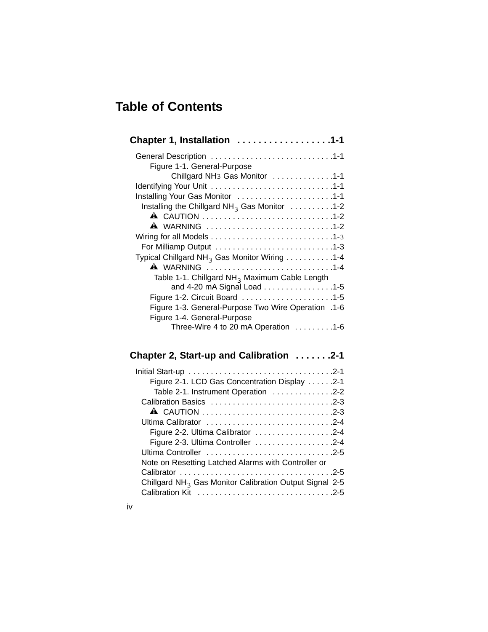# **Table of Contents**

iv

| Chapter 1, Installation 1-1                                                    |
|--------------------------------------------------------------------------------|
|                                                                                |
| Figure 1-1. General-Purpose                                                    |
| Chillgard NH <sub>3</sub> Gas Monitor 1-1                                      |
|                                                                                |
| Installing Your Gas Monitor 1-1                                                |
| Installing the Chillgard NH <sub>3</sub> Gas Monitor $\dots \dots \dots \dots$ |
|                                                                                |
| A WARNING 1-2                                                                  |
|                                                                                |
|                                                                                |
| Typical Chillgard NH <sub>3</sub> Gas Monitor Wiring 1-4                       |
| <b>A</b> WARNING 1-4                                                           |
| Table 1-1. Chillgard NH <sub>3</sub> Maximum Cable Length                      |
| and 4-20 mA Signal Load 1-5                                                    |
|                                                                                |
| 1-6. Figure 1-3. General-Purpose Two Wire Operation                            |
| Figure 1-4. General-Purpose                                                    |
| Three-Wire 4 to 20 mA Operation 1-6                                            |

# **Chapter 2, Start-up and Calibration . . . . . . .2-1**

| Figure 2-1. LCD Gas Concentration Display 2-1             |  |
|-----------------------------------------------------------|--|
| Table 2-1. Instrument Operation 2-2                       |  |
| Calibration Basics 2-3                                    |  |
|                                                           |  |
| Ultima Calibrator 2-4                                     |  |
| Figure 2-2. Ultima Calibrator 2-4                         |  |
| Figure 2-3. Ultima Controller 2-4                         |  |
| Ultima Controller 2-5                                     |  |
| Note on Resetting Latched Alarms with Controller or       |  |
|                                                           |  |
| Chillgard $NH3$ Gas Monitor Calibration Output Signal 2-5 |  |
|                                                           |  |
|                                                           |  |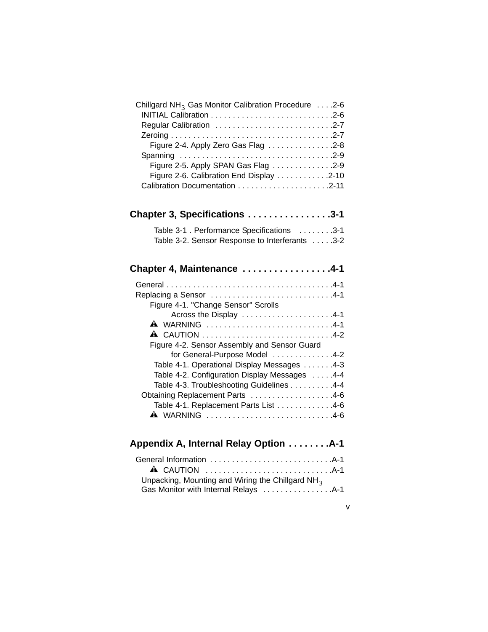| Chillgard NH <sub>3</sub> Gas Monitor Calibration Procedure 2-6 |
|-----------------------------------------------------------------|
|                                                                 |
| Regular Calibration 2-7                                         |
|                                                                 |
| Figure 2-4. Apply Zero Gas Flag 2-8                             |
|                                                                 |
| Figure 2-5. Apply SPAN Gas Flag 2-9                             |
| Figure 2-6. Calibration End Display 2-10                        |
|                                                                 |
|                                                                 |
| Chapter 3, Specifications 3-1                                   |
| Table 3-1 . Performance Specifications 3-1                      |
| Table 3-2. Sensor Response to Interferants 3-2                  |
|                                                                 |
| Chapter 4, Maintenance 4-1                                      |
|                                                                 |
| Replacing a Sensor 4-1                                          |
| Figure 4-1. "Change Sensor" Scrolls                             |
| Across the Display 4-1                                          |
| <b>A</b> WARNING 4-1                                            |
|                                                                 |
| Figure 4-2. Sensor Assembly and Sensor Guard                    |
| for General-Purpose Model 4-2                                   |
| Table 4-1. Operational Display Messages 4-3                     |
| Table 4-2. Configuration Display Messages 4-4                   |
| Table 4-3. Troubleshooting Guidelines 4-4                       |
| Obtaining Replacement Parts 4-6                                 |
| Table 4-1. Replacement Parts List 4-6                           |
| A WARNING 4-6                                                   |
|                                                                 |
| Appendix A, Internal Relay Option A-1                           |
|                                                                 |
|                                                                 |
| Unpacking, Mounting and Wiring the Chillgard NH <sub>3</sub>    |
|                                                                 |

v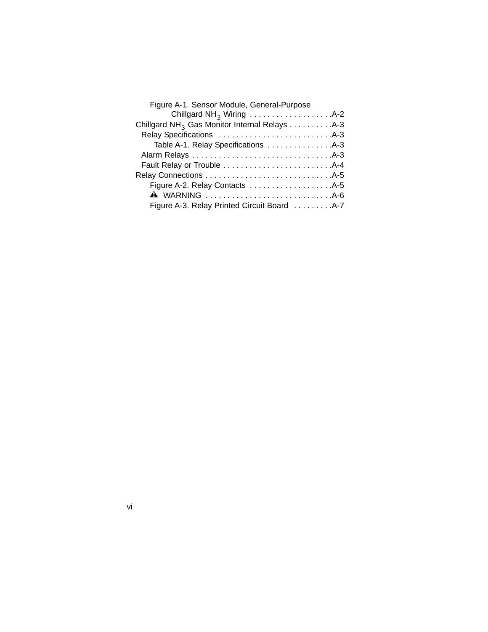| Figure A-1. Sensor Module, General-Purpose                |
|-----------------------------------------------------------|
|                                                           |
| Chillgard NH <sub>3</sub> Gas Monitor Internal Relays A-3 |
|                                                           |
|                                                           |
|                                                           |
|                                                           |
|                                                           |
|                                                           |
| <b>A</b> WARNING A-6                                      |
| Figure A-3. Relay Printed Circuit Board A-7               |
|                                                           |

vi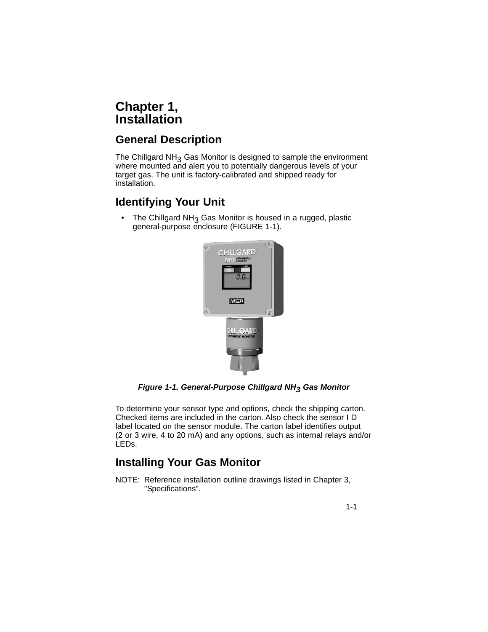# **Chapter 1, Installation**

# **General Description**

The Chillgard  $NH<sub>3</sub>$  Gas Monitor is designed to sample the environment where mounted and alert you to potentially dangerous levels of your target gas. The unit is factory-calibrated and shipped ready for installation.

# **Identifying Your Unit**

• The Chillgard NH<sub>3</sub> Gas Monitor is housed in a rugged, plastic general-purpose enclosure (FIGURE 1-1).



*Figure 1-1. General-Purpose Chillgard NH3 Gas Monitor*

To determine your sensor type and options, check the shipping carton. Checked items are included in the carton. Also check the sensor I D label located on the sensor module. The carton label identifies output (2 or 3 wire, 4 to 20 mA) and any options, such as internal relays and/or LEDs.

# **Installing Your Gas Monitor**

NOTE: Reference installation outline drawings listed in Chapter 3, "Specifications".

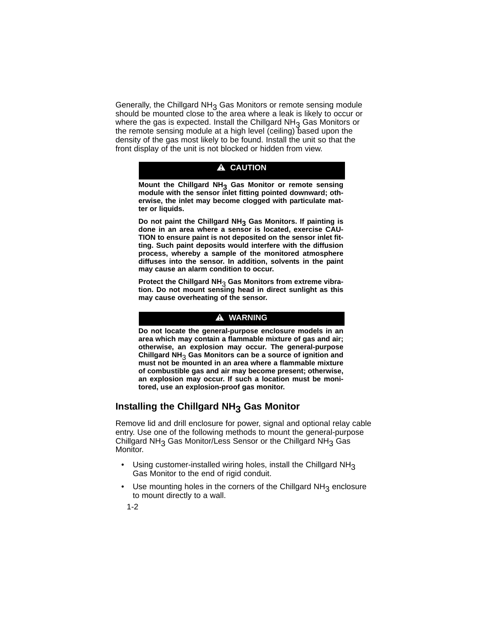Generally, the Chillgard  $NH<sub>3</sub>$  Gas Monitors or remote sensing module should be mounted close to the area where a leak is likely to occur or where the gas is expected. Install the Chillgard  $NH<sub>3</sub>$  Gas Monitors or the remote sensing module at a high level (ceiling) based upon the density of the gas most likely to be found. Install the unit so that the front display of the unit is not blocked or hidden from view.

#### **A** CAUTION

**Mount the Chillgard NH3 Gas Monitor or remote sensing module with the sensor inlet fitting pointed downward; otherwise, the inlet may become clogged with particulate matter or liquids.**

**Do not paint the Chillgard NH3 Gas Monitors. If painting is done in an area where a sensor is located, exercise CAU-TION to ensure paint is not deposited on the sensor inlet fitting. Such paint deposits would interfere with the diffusion process, whereby a sample of the monitored atmosphere diffuses into the sensor. In addition, solvents in the paint may cause an alarm condition to occur.**

**Protect the Chillgard NH**3 **Gas Monitors from extreme vibration. Do not mount sensing head in direct sunlight as this may cause overheating of the sensor.**

#### $\triangle$  WARNING

**Do not locate the general-purpose enclosure models in an area which may contain a flammable mixture of gas and air; otherwise, an explosion may occur. The general-purpose Chillgard NH**3 **Gas Monitors can be a source of ignition and must not be mounted in an area where a flammable mixture of combustible gas and air may become present; otherwise, an explosion may occur. If such a location must be monitored, use an explosion-proof gas monitor.**

### **Installing the Chillgard NH3 Gas Monitor**

Remove lid and drill enclosure for power, signal and optional relay cable entry. Use one of the following methods to mount the general-purpose Chillgard NH<sub>3</sub> Gas Monitor/Less Sensor or the Chillgard NH<sub>3</sub> Gas Monitor.

- Using customer-installed wiring holes, install the Chillgard  $NH<sub>3</sub>$ Gas Monitor to the end of rigid conduit.
- Use mounting holes in the corners of the Chillgard  $NH<sub>3</sub>$  enclosure to mount directly to a wall.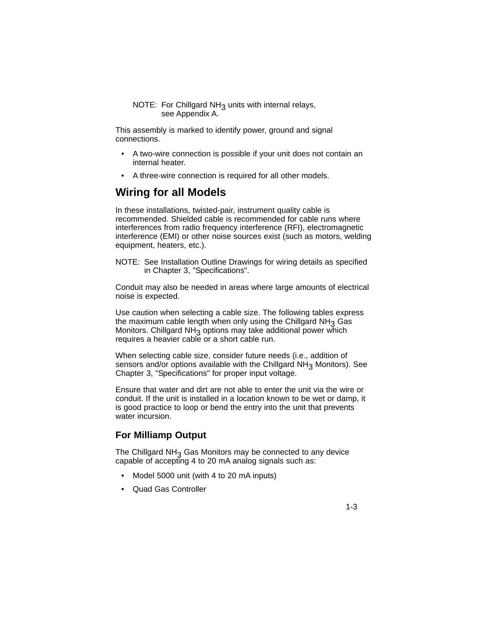NOTE: For Chillgard NH $_3$  units with internal relays, see Appendix A.

This assembly is marked to identify power, ground and signal connections.

- A two-wire connection is possible if your unit does not contain an internal heater.
- A three-wire connection is required for all other models.

### **Wiring for all Models**

In these installations, twisted-pair, instrument quality cable is recommended. Shielded cable is recommended for cable runs where interferences from radio frequency interference (RFI), electromagnetic interference (EMI) or other noise sources exist (such as motors, welding equipment, heaters, etc.).

NOTE: See Installation Outline Drawings for wiring details as specified in Chapter 3, "Specifications".

Conduit may also be needed in areas where large amounts of electrical noise is expected.

Use caution when selecting a cable size. The following tables express the maximum cable length when only using the Chillgard  $NH<sub>3</sub>$  Gas Monitors. Chillgard  $NH_3$  options may take additional power which requires a heavier cable or a short cable run.

When selecting cable size, consider future needs (i.e., addition of sensors and/or options available with the Chillgard  $NH<sub>3</sub>$  Monitors). See Chapter 3, "Specifications" for proper input voltage.

Ensure that water and dirt are not able to enter the unit via the wire or conduit. If the unit is installed in a location known to be wet or damp, it is good practice to loop or bend the entry into the unit that prevents water incursion.

### **For Milliamp Output**

The Chillgard  $NH<sub>3</sub>$  Gas Monitors may be connected to any device capable of accepting 4 to 20 mA analog signals such as:

- Model 5000 unit (with 4 to 20 mA inputs)
- Quad Gas Controller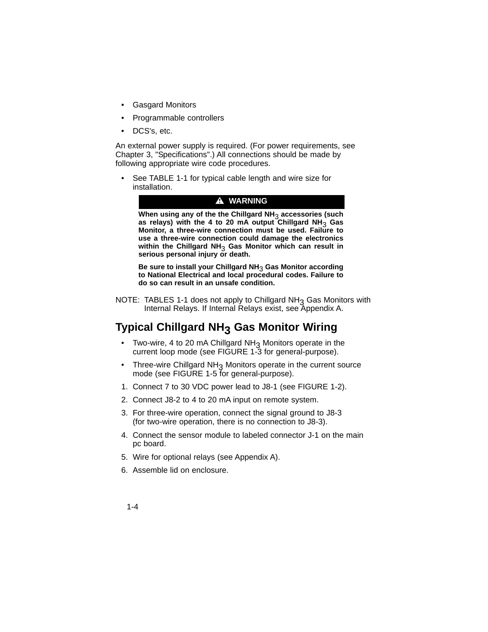- Gasgard Monitors
- Programmable controllers
- DCS's, etc.

An external power supply is required. (For power requirements, see Chapter 3, "Specifications".) All connections should be made by following appropriate wire code procedures.

See TABLE 1-1 for typical cable length and wire size for installation.



**When using any of the the Chillgard NH**3 **accessories (such as relays) with the 4 to 20 mA output Chillgard NH**3 **Gas Monitor, a three-wire connection must be used. Failure to use a three-wire connection could damage the electronics within the Chillgard NH**3 **Gas Monitor which can result in serious personal injury or death.**

**Be sure to install your Chillgard NH**3 **Gas Monitor according to National Electrical and local procedural codes. Failure to do so can result in an unsafe condition.**

NOTE: TABLES 1-1 does not apply to Chillgard  $NH<sub>3</sub>$  Gas Monitors with Internal Relays. If Internal Relays exist, see Appendix A.

# **Typical Chillgard NH3 Gas Monitor Wiring**

- $\bullet$  Two-wire, 4 to 20 mA Chillgard NH<sub>3</sub> Monitors operate in the current loop mode (see FIGURE 1-3 for general-purpose).
- Three-wire Chillgard  $NH<sub>3</sub>$  Monitors operate in the current source mode (see FIGURE 1-5 for general-purpose).
- 1. Connect 7 to 30 VDC power lead to J8-1 (see FIGURE 1-2).
- 2. Connect J8-2 to 4 to 20 mA input on remote system.
- 3. For three-wire operation, connect the signal ground to J8-3 (for two-wire operation, there is no connection to J8-3).
- 4. Connect the sensor module to labeled connector J-1 on the main pc board.
- 5. Wire for optional relays (see Appendix A).
- 6. Assemble lid on enclosure.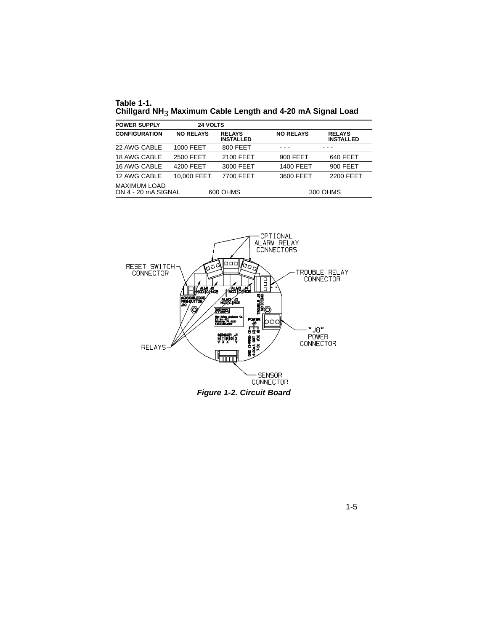**Table 1-1. Chillgard NH**3 **Maximum Cable Length and 4-20 mA Signal Load**

| <b>POWER SUPPLY</b>                        | <b>24 VOLTS</b>  |                                   |                  |                                   |
|--------------------------------------------|------------------|-----------------------------------|------------------|-----------------------------------|
| <b>CONFIGURATION</b>                       | <b>NO RELAYS</b> | <b>RELAYS</b><br><b>INSTALLED</b> | <b>NO RELAYS</b> | <b>RELAYS</b><br><b>INSTALLED</b> |
| 22 AWG CABLE                               | 1000 FEET        | 800 FEET                          |                  |                                   |
| 18 AWG CABLE                               | 2500 FEET        | 2100 FEET                         | 900 FEET         | 640 FEET                          |
| 16 AWG CABLE                               | 4200 FEET        | 3000 FEET                         | 1400 FEET        | 900 FEET                          |
| 12 AWG CABLE                               | 10.000 FEET      | 7700 FEET                         | 3600 FEET        | 2200 FEET                         |
| <b>MAXIMUM LOAD</b><br>ON 4 - 20 mA SIGNAL |                  | 600 OHMS                          |                  | 300 OHMS                          |



1-5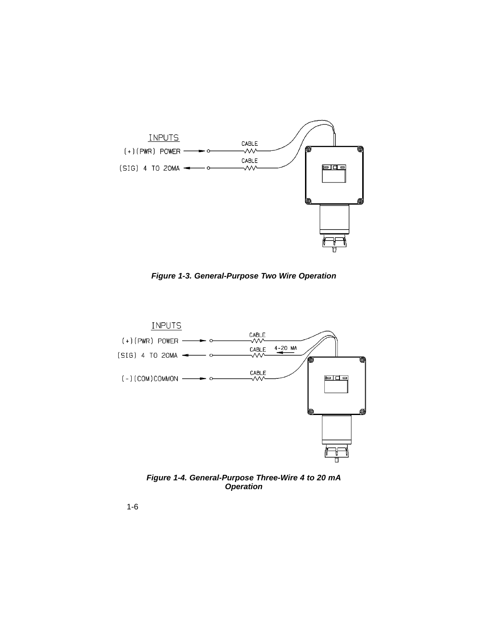

*Figure 1-3. General-Purpose Two Wire Operation*



*Figure 1-4. General-Purpose Three-Wire 4 to 20 mA Operation*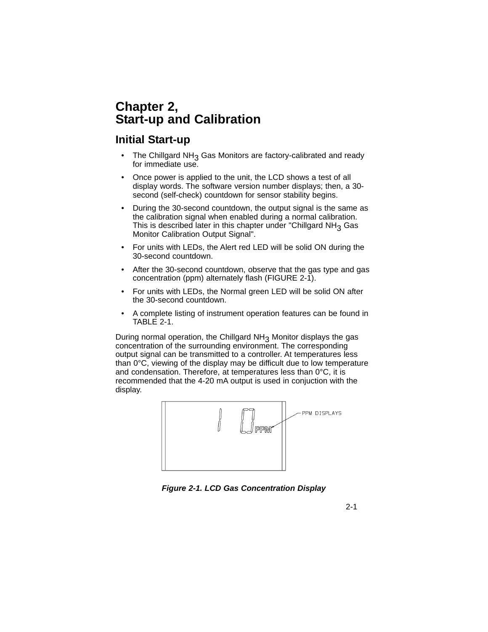# **Chapter 2, Start-up and Calibration**

### **Initial Start-up**

- The Chillgard NH<sub>3</sub> Gas Monitors are factory-calibrated and ready for immediate use.
- Once power is applied to the unit, the LCD shows a test of all display words. The software version number displays; then, a 30 second (self-check) countdown for sensor stability begins.
- During the 30-second countdown, the output signal is the same as the calibration signal when enabled during a normal calibration. This is described later in this chapter under "Chillgard  $NH<sub>3</sub>$  Gas Monitor Calibration Output Signal".
- For units with LEDs, the Alert red LED will be solid ON during the 30-second countdown.
- After the 30-second countdown, observe that the gas type and gas concentration (ppm) alternately flash (FIGURE 2-1).
- For units with LEDs, the Normal green LED will be solid ON after the 30-second countdown.
- A complete listing of instrument operation features can be found in TABLE 2-1.

During normal operation, the Chillgard NH<sub>3</sub> Monitor displays the gas concentration of the surrounding environment. The corresponding output signal can be transmitted to a controller. At temperatures less than 0°C, viewing of the display may be difficult due to low temperature and condensation. Therefore, at temperatures less than 0°C, it is recommended that the 4-20 mA output is used in conjuction with the display.



*Figure 2-1. LCD Gas Concentration Display*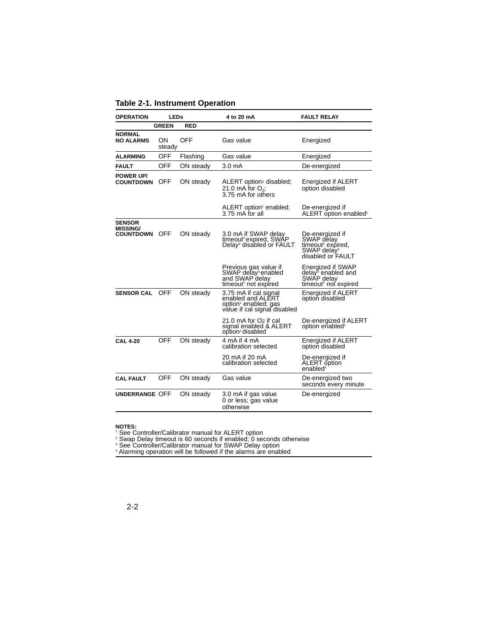#### **Table 2-1. Instrument Operation**

| <b>LEDs</b><br><b>OPERATION</b>                      |                     |            | 4 to 20 mA                                                                                                     | <b>FAULT RELAY</b>                                                                                             |
|------------------------------------------------------|---------------------|------------|----------------------------------------------------------------------------------------------------------------|----------------------------------------------------------------------------------------------------------------|
|                                                      | <b>GREEN</b>        | <b>RED</b> |                                                                                                                |                                                                                                                |
| <b>NORMAL</b><br><b>NO ALARMS</b>                    | <b>ON</b><br>steady | OFF        | Gas value                                                                                                      | Energized                                                                                                      |
| <b>ALARMING</b>                                      | <b>OFF</b>          | Flashing   | Gas value                                                                                                      | Energized                                                                                                      |
| <b>FAULT</b>                                         | OFF                 | ON steady  | 3.0 <sub>m</sub> A                                                                                             | De-energized                                                                                                   |
| <b>POWER UP/</b><br><b>COUNTDOWN</b>                 | <b>OFF</b>          | ON steady  | ALERT option <sup>1</sup> disabled;<br>21.0 mA for $O_2$ ;<br>3.75 mA for others                               | Energized if ALERT<br>option disabled                                                                          |
|                                                      |                     |            | ALERT option <sup>1</sup> enabled;<br>3.75 mA for all                                                          | De-energized if<br>ALERT option enabled <sup>1</sup>                                                           |
| <b>SENSOR</b><br><b>MISSING/</b><br><b>COUNTDOWN</b> | <b>OFF</b>          | ON steady  | 3.0 mA if SWAP delay<br>timeout <sup>2</sup> expired, SWAP<br>Delay <sup>3</sup> disabled or FAULT             | De-energized if<br>SWAP délay<br>timeout <sup>2</sup> expired,<br>SWAP delay <sup>3</sup><br>disabled or FAULT |
|                                                      |                     |            | Previous gas value if<br>SWAP delay <sup>3</sup> enabled<br>and SWAP delay<br>timeout <sup>2</sup> not expired | Energized if SWAP<br>delay <sup>3</sup> enabled and<br>SWAP delay<br>timeout <sup>2</sup> not expired          |
| <b>SENSOR CAL</b>                                    | <b>OFF</b>          | ON steady  | 3.75 mA if cal signal<br>enabled and ALERT<br>option <sup>1</sup> enabled; gas<br>value if cal signal disabled | Energized if ALERT<br>option disabled                                                                          |
|                                                      |                     |            | 21.0 mA for O <sub>2</sub> if cal<br>signal enabled & ALERT<br>option <sup>1</sup> disabled                    | De-energized if ALERT<br>option enabled <sup>1</sup>                                                           |
| CAL 4-20                                             | <b>OFF</b>          | ON steady  | 4 mA if 4 mA<br>calibration selected                                                                           | Energized if ALERT<br>option disabled                                                                          |
|                                                      |                     |            | 20 mA if 20 mA<br>calibration selected                                                                         | De-energized if<br>ALERT option<br>enabled <sup>1</sup>                                                        |
| <b>CAL FAULT</b>                                     | <b>OFF</b>          | ON steady  | Gas value                                                                                                      | De-energized two<br>seconds every minute                                                                       |
| UNDERRANGE OFF                                       |                     | ON steady  | 3.0 mA if gas value<br>0 or less; gas value<br>otherwise                                                       | De-energized                                                                                                   |

**NOTES:** <sup>1</sup> See Controller/Calibrator manual for ALERT option

<sup>2</sup> Swap Delay timeout is 60 seconds if enabled; 0 seconds otherwise

<sup>3</sup> See Controller/Calibrator manual for SWAP Delay option

<sup>4</sup> Alarming operation will be followed if the alarms are enabled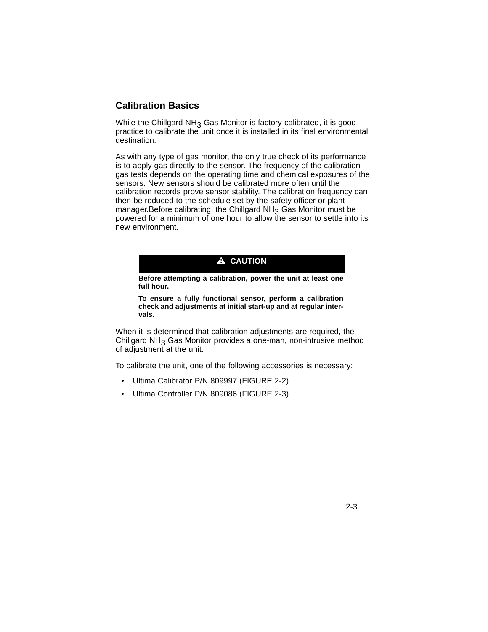### **Calibration Basics**

While the Chillgard  $NH<sub>3</sub>$  Gas Monitor is factory-calibrated, it is good practice to calibrate the unit once it is installed in its final environmental destination.

As with any type of gas monitor, the only true check of its performance is to apply gas directly to the sensor. The frequency of the calibration gas tests depends on the operating time and chemical exposures of the sensors. New sensors should be calibrated more often until the calibration records prove sensor stability. The calibration frequency can then be reduced to the schedule set by the safety officer or plant manager. Before calibrating, the Chillgard  $NH<sub>3</sub>$  Gas Monitor must be powered for a minimum of one hour to allow the sensor to settle into its new environment.

### **A** CAUTION

**Before attempting a calibration, power the unit at least one full hour.**

**To ensure a fully functional sensor, perform a calibration check and adjustments at initial start-up and at regular intervals.**

When it is determined that calibration adjustments are required, the Chillgard  $NH<sub>3</sub>$  Gas Monitor provides a one-man, non-intrusive method of adjustment at the unit.

To calibrate the unit, one of the following accessories is necessary:

- Ultima Calibrator P/N 809997 (FIGURE 2-2)
- Ultima Controller P/N 809086 (FIGURE 2-3)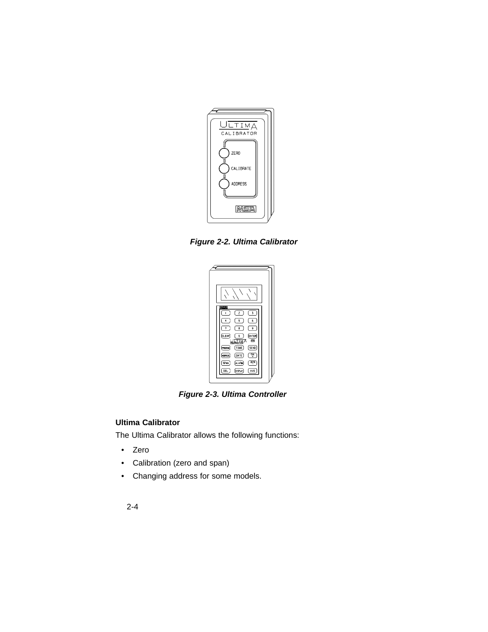

*Figure 2-2. Ultima Calibrator*

| <b>NEX</b><br>$\overline{c}$<br>3<br>6<br>5                                 |
|-----------------------------------------------------------------------------|
| 9<br>8<br>7<br>CLEAR<br><b>ENTER</b><br>O<br>四<br>А                         |
| काल<br>mut<br>SEND<br>TINE<br><b>FROGRA</b><br>ড়<br>DATE<br><b>ACCIFES</b> |
| ZERD<br>(ALARN<br>SPAN<br>DEL<br>(orseur<br>AVG                             |

*Figure 2-3. Ultima Controller*

### **Ultima Calibrator**

The Ultima Calibrator allows the following functions:

- Zero
- Calibration (zero and span)
- Changing address for some models.
	- 2-4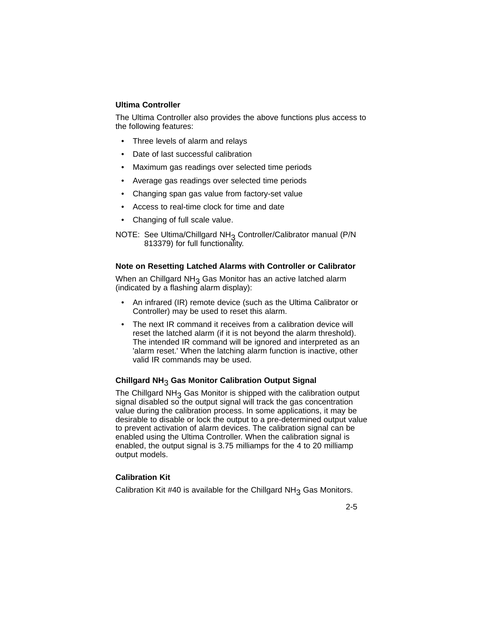#### **Ultima Controller**

The Ultima Controller also provides the above functions plus access to the following features:

- Three levels of alarm and relays
- Date of last successful calibration
- Maximum gas readings over selected time periods
- Average gas readings over selected time periods
- Changing span gas value from factory-set value
- Access to real-time clock for time and date
- Changing of full scale value.

NOTE: See Ultima/Chillgard NH<sub>3</sub> Controller/Calibrator manual (P/N 813379) for full functionality.

#### **Note on Resetting Latched Alarms with Controller or Calibrator**

When an Chillgard  $NH<sub>3</sub>$  Gas Monitor has an active latched alarm (indicated by a flashing alarm display):

- An infrared (IR) remote device (such as the Ultima Calibrator or Controller) may be used to reset this alarm.
- The next IR command it receives from a calibration device will reset the latched alarm (if it is not beyond the alarm threshold). The intended IR command will be ignored and interpreted as an 'alarm reset.' When the latching alarm function is inactive, other valid IR commands may be used.

#### **Chillgard NH**3 **Gas Monitor Calibration Output Signal**

The Chillgard  $NH<sub>3</sub>$  Gas Monitor is shipped with the calibration output signal disabled so the output signal will track the gas concentration value during the calibration process. In some applications, it may be desirable to disable or lock the output to a pre-determined output value to prevent activation of alarm devices. The calibration signal can be enabled using the Ultima Controller. When the calibration signal is enabled, the output signal is 3.75 milliamps for the 4 to 20 milliamp output models.

#### **Calibration Kit**

Calibration Kit #40 is available for the Chillgard  $NH<sub>3</sub>$  Gas Monitors.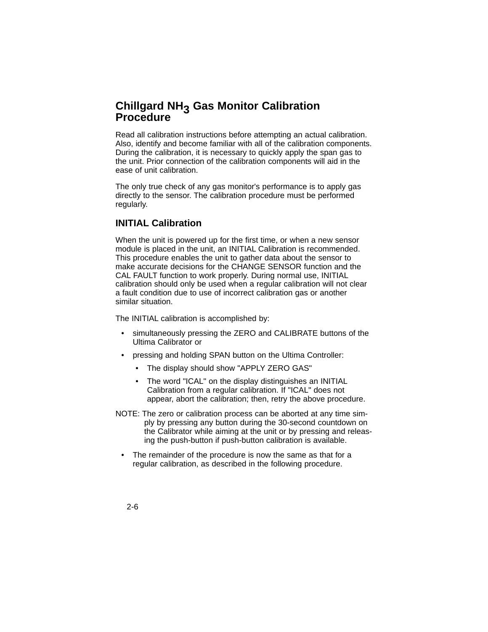### **Chillgard NH3 Gas Monitor Calibration Procedure**

Read all calibration instructions before attempting an actual calibration. Also, identify and become familiar with all of the calibration components. During the calibration, it is necessary to quickly apply the span gas to the unit. Prior connection of the calibration components will aid in the ease of unit calibration.

The only true check of any gas monitor's performance is to apply gas directly to the sensor. The calibration procedure must be performed regularly.

### **INITIAL Calibration**

When the unit is powered up for the first time, or when a new sensor module is placed in the unit, an INITIAL Calibration is recommended. This procedure enables the unit to gather data about the sensor to make accurate decisions for the CHANGE SENSOR function and the CAL FAULT function to work properly. During normal use, INITIAL calibration should only be used when a regular calibration will not clear a fault condition due to use of incorrect calibration gas or another similar situation.

The INITIAL calibration is accomplished by:

- simultaneously pressing the ZERO and CALIBRATE buttons of the Ultima Calibrator or
- pressing and holding SPAN button on the Ultima Controller:
	- The display should show "APPLY ZERO GAS"
	- The word "ICAL" on the display distinguishes an INITIAL Calibration from a regular calibration. If "ICAL" does not appear, abort the calibration; then, retry the above procedure.
- NOTE: The zero or calibration process can be aborted at any time simply by pressing any button during the 30-second countdown on the Calibrator while aiming at the unit or by pressing and releasing the push-button if push-button calibration is available.
	- The remainder of the procedure is now the same as that for a regular calibration, as described in the following procedure.
	- 2-6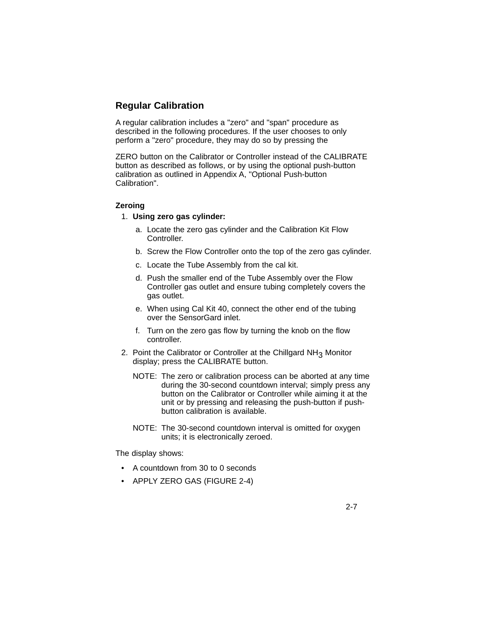### **Regular Calibration**

A regular calibration includes a "zero" and "span" procedure as described in the following procedures. If the user chooses to only perform a "zero" procedure, they may do so by pressing the

ZERO button on the Calibrator or Controller instead of the CALIBRATE button as described as follows, or by using the optional push-button calibration as outlined in Appendix A, "Optional Push-button Calibration".

#### **Zeroing**

- 1. **Using zero gas cylinder:**
	- a. Locate the zero gas cylinder and the Calibration Kit Flow Controller.
	- b. Screw the Flow Controller onto the top of the zero gas cylinder.
	- c. Locate the Tube Assembly from the cal kit.
	- d. Push the smaller end of the Tube Assembly over the Flow Controller gas outlet and ensure tubing completely covers the gas outlet.
	- e. When using Cal Kit 40, connect the other end of the tubing over the SensorGard inlet.
	- f. Turn on the zero gas flow by turning the knob on the flow controller.
- 2. Point the Calibrator or Controller at the Chillgard NH<sub>3</sub> Monitor display; press the CALIBRATE button.
	- NOTE: The zero or calibration process can be aborted at any time during the 30-second countdown interval; simply press any button on the Calibrator or Controller while aiming it at the unit or by pressing and releasing the push-button if pushbutton calibration is available.
	- NOTE: The 30-second countdown interval is omitted for oxygen units; it is electronically zeroed.

2-7

The display shows:

- A countdown from 30 to 0 seconds
- APPLY ZERO GAS (FIGURE 2-4)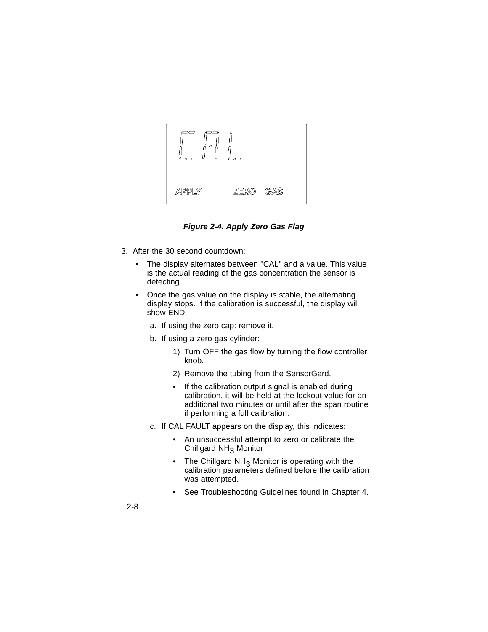

*Figure 2-4. Apply Zero Gas Flag*

- 3. After the 30 second countdown:
	- The display alternates between "CAL" and a value. This value is the actual reading of the gas concentration the sensor is detecting.
	- Once the gas value on the display is stable, the alternating display stops. If the calibration is successful, the display will show END.
		- a. If using the zero cap: remove it.
		- b. If using a zero gas cylinder:
			- 1) Turn OFF the gas flow by turning the flow controller knob.
			- 2) Remove the tubing from the SensorGard.
			- If the calibration output signal is enabled during calibration, it will be held at the lockout value for an additional two minutes or until after the span routine if performing a full calibration.
		- c. If CAL FAULT appears on the display, this indicates:
			- An unsuccessful attempt to zero or calibrate the Chillgard NH<sub>3</sub> Monitor
			- The Chillgard  $NH<sub>3</sub>$  Monitor is operating with the calibration parameters defined before the calibration was attempted.
			- See Troubleshooting Guidelines found in Chapter 4.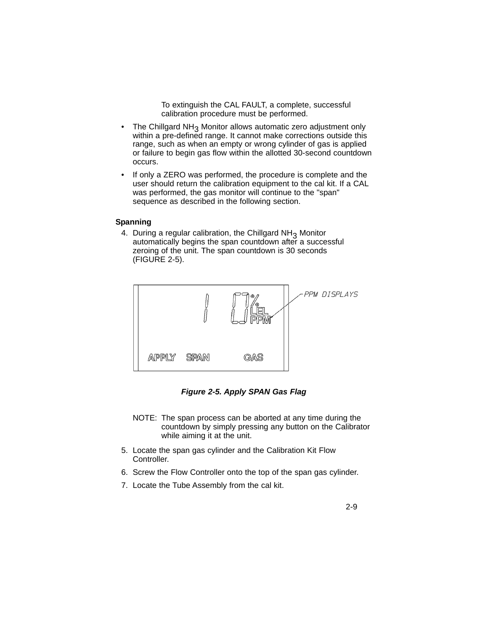To extinguish the CAL FAULT, a complete, successful calibration procedure must be performed.

- The Chillgard NH<sub>3</sub> Monitor allows automatic zero adjustment only within a pre-defined range. It cannot make corrections outside this range, such as when an empty or wrong cylinder of gas is applied or failure to begin gas flow within the allotted 30-second countdown occurs.
- If only a ZERO was performed, the procedure is complete and the user should return the calibration equipment to the cal kit. If a CAL was performed, the gas monitor will continue to the "span" sequence as described in the following section.

#### **Spanning**

4. During a regular calibration, the Chillgard  $NH<sub>3</sub>$  Monitor automatically begins the span countdown after a successful zeroing of the unit. The span countdown is 30 seconds (FIGURE 2-5).



*Figure 2-5. Apply SPAN Gas Flag*

- NOTE: The span process can be aborted at any time during the countdown by simply pressing any button on the Calibrator while aiming it at the unit.
- 5. Locate the span gas cylinder and the Calibration Kit Flow Controller.
- 6. Screw the Flow Controller onto the top of the span gas cylinder.
- 7. Locate the Tube Assembly from the cal kit.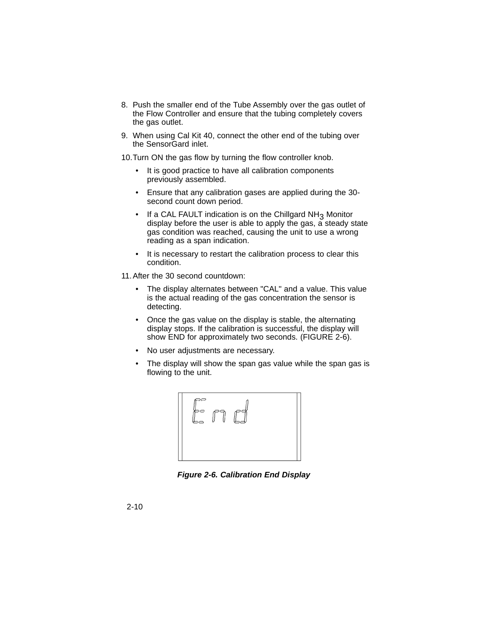- 8. Push the smaller end of the Tube Assembly over the gas outlet of the Flow Controller and ensure that the tubing completely covers the gas outlet.
- 9. When using Cal Kit 40, connect the other end of the tubing over the SensorGard inlet.

10.Turn ON the gas flow by turning the flow controller knob.

- It is good practice to have all calibration components previously assembled.
- Ensure that any calibration gases are applied during the 30 second count down period.
- If a CAL FAULT indication is on the Chillgard  $NH<sub>3</sub>$  Monitor display before the user is able to apply the gas, a steady state gas condition was reached, causing the unit to use a wrong reading as a span indication.
- It is necessary to restart the calibration process to clear this condition.
- 11.After the 30 second countdown:
	- The display alternates between "CAL" and a value. This value is the actual reading of the gas concentration the sensor is detecting.
	- Once the gas value on the display is stable, the alternating display stops. If the calibration is successful, the display will show END for approximately two seconds. (FIGURE 2-6).
	- No user adjustments are necessary.
	- The display will show the span gas value while the span gas is flowing to the unit.



*Figure 2-6. Calibration End Display*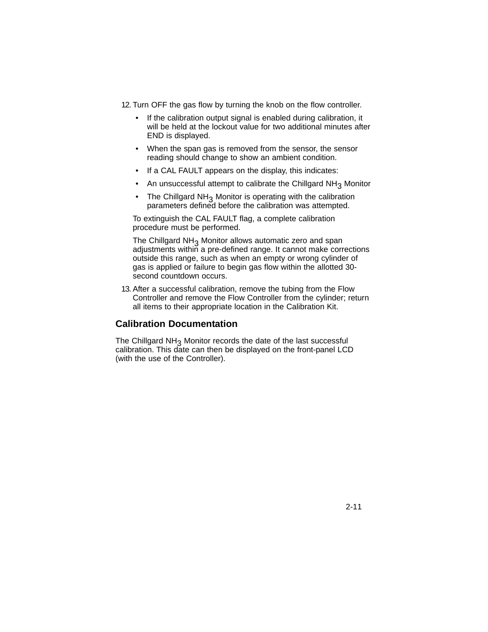12. Turn OFF the gas flow by turning the knob on the flow controller.

- If the calibration output signal is enabled during calibration, it will be held at the lockout value for two additional minutes after END is displayed.
- When the span gas is removed from the sensor, the sensor reading should change to show an ambient condition.
- If a CAL FAULT appears on the display, this indicates:
- An unsuccessful attempt to calibrate the Chillgard  $NH<sub>3</sub>$  Monitor
- The Chillgard  $NH<sub>3</sub>$  Monitor is operating with the calibration parameters defined before the calibration was attempted.

To extinguish the CAL FAULT flag, a complete calibration procedure must be performed.

The Chillgard NH<sub>3</sub> Monitor allows automatic zero and span adjustments within a pre-defined range. It cannot make corrections outside this range, such as when an empty or wrong cylinder of gas is applied or failure to begin gas flow within the allotted 30 second countdown occurs.

13. After a successful calibration, remove the tubing from the Flow Controller and remove the Flow Controller from the cylinder; return all items to their appropriate location in the Calibration Kit.

#### **Calibration Documentation**

The Chillgard NH<sub>3</sub> Monitor records the date of the last successful calibration. This date can then be displayed on the front-panel LCD (with the use of the Controller).

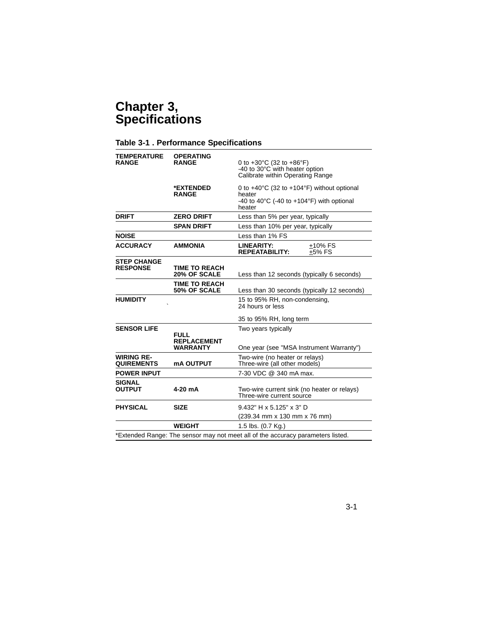# **Chapter 3, Specifications**

### **Table 3-1 . Performance Specifications**

| <b>TEMPERATURE</b><br><b>OPERATING</b><br><b>RANGE</b><br><b>RANGE</b> |                                      | 0 to $+30^{\circ}$ C (32 to $+86^{\circ}$ F)<br>-40 to 30°C with heater option<br>Calibrate within Operating Range                                  |  |  |
|------------------------------------------------------------------------|--------------------------------------|-----------------------------------------------------------------------------------------------------------------------------------------------------|--|--|
|                                                                        | *EXTENDED<br><b>RANGE</b>            | 0 to $+40^{\circ}$ C (32 to $+104^{\circ}$ F) without optional<br>heater<br>-40 to 40 $\degree$ C (-40 to +104 $\degree$ F) with optional<br>heater |  |  |
| <b>DRIFT</b>                                                           | <b>ZERO DRIFT</b>                    | Less than 5% per year, typically                                                                                                                    |  |  |
|                                                                        | <b>SPAN DRIFT</b>                    | Less than 10% per year, typically                                                                                                                   |  |  |
| <b>NOISE</b>                                                           |                                      | Less than 1% FS                                                                                                                                     |  |  |
| <b>ACCURACY</b>                                                        | <b>AMMONIA</b>                       | LINEARITY:<br>+10% FS<br><b>REPEATABILITY:</b><br>+5% FS                                                                                            |  |  |
| <b>STEP CHANGE</b><br><b>RESPONSE</b>                                  | <b>TIME TO REACH</b><br>20% OF SCALE | Less than 12 seconds (typically 6 seconds)                                                                                                          |  |  |
|                                                                        | <b>TIME TO REACH</b><br>50% OF SCALE | Less than 30 seconds (typically 12 seconds)                                                                                                         |  |  |
| <b>HUMIDITY</b>                                                        |                                      | 15 to 95% RH, non-condensing,<br>24 hours or less                                                                                                   |  |  |
|                                                                        |                                      | 35 to 95% RH, long term                                                                                                                             |  |  |
| <b>SENSOR LIFE</b><br><b>FULL</b><br><b>REPLACEMENT</b>                |                                      | Two years typically                                                                                                                                 |  |  |
|                                                                        | <b>WARRANTY</b>                      | One year (see "MSA Instrument Warranty")                                                                                                            |  |  |
| <b>WIRING RE-</b><br><b>QUIREMENTS</b>                                 | <b>mA OUTPUT</b>                     | Two-wire (no heater or relays)<br>Three-wire (all other models)                                                                                     |  |  |
| <b>POWER INPUT</b>                                                     |                                      | 7-30 VDC @ 340 mA max.                                                                                                                              |  |  |
| <b>SIGNAL</b><br><b>OUTPUT</b>                                         | 4-20 mA                              | Two-wire current sink (no heater or relays)<br>Three-wire current source                                                                            |  |  |
| <b>PHYSICAL</b>                                                        | <b>SIZE</b>                          | 9.432" H x 5.125" x 3" D                                                                                                                            |  |  |
|                                                                        |                                      | (239.34 mm x 130 mm x 76 mm)                                                                                                                        |  |  |
|                                                                        | <b>WEIGHT</b>                        | 1.5 lbs. (0.7 Kg.)                                                                                                                                  |  |  |
|                                                                        |                                      | *Extended Range: The sensor may not meet all of the accuracy parameters listed.                                                                     |  |  |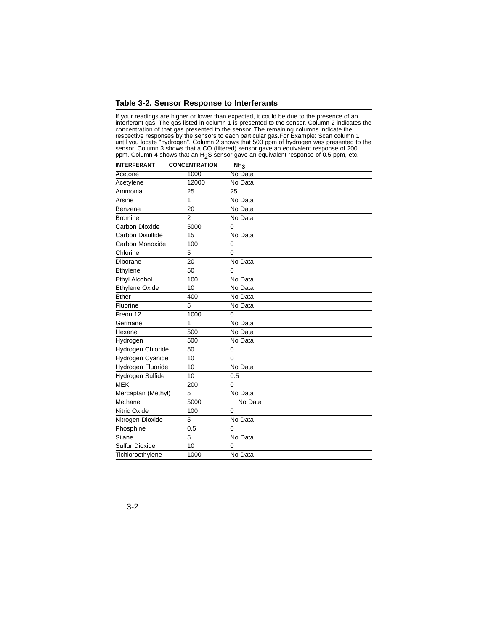#### **Table 3-2. Sensor Response to Interferants**

If your readings are higher or lower than expected, it could be due to the presence of an interferant gas. The gas listed in column 1 is presented to the sensor. Column 2 indicates the concentration of that gas presented to the sensor. The remaining columns indicate the respective responses by the sensors to each particular gas.For Example: Scan column 1 until you locate "hydrogen". Column 2 shows that 500 ppm of hydrogen was presented to the sensor. Column 3 shows that a CO (filtered) sensor gave an equivalent response of 200<br>ppm. Column 4 shows that an H<sub>2</sub>S sensor gave an equivalent response of 0.5 ppm, etc.

| <b>INTERFERANT</b>      | <b>CONCENTRATION</b> | NH <sub>3</sub> |  |
|-------------------------|----------------------|-----------------|--|
| Acetone                 | 1000                 | No Data         |  |
| Acetylene               | 12000                | No Data         |  |
| Ammonia                 | 25                   | 25              |  |
| Arsine                  | 1                    | No Data         |  |
| Benzene                 | 20                   | No Data         |  |
| <b>Bromine</b>          | 2                    | No Data         |  |
| Carbon Dioxide          | 5000                 | $\Omega$        |  |
| Carbon Disulfide        | 15                   | No Data         |  |
| Carbon Monoxide         | 100                  | 0               |  |
| Chlorine                | 5                    | $\Omega$        |  |
| Diborane                | 20                   | No Data         |  |
| Ethylene                | 50                   | $\Omega$        |  |
| Ethyl Alcohol           | 100                  | No Data         |  |
| <b>Ethylene Oxide</b>   | 10                   | No Data         |  |
| Ether                   | 400                  | No Data         |  |
| Fluorine                | 5                    | No Data         |  |
| Freon 12                | 1000                 | $\Omega$        |  |
| Germane                 | 1                    | No Data         |  |
| Hexane                  | 500                  | No Data         |  |
| Hydrogen                | 500                  | No Data         |  |
| Hydrogen Chloride       | 50                   | 0               |  |
| <b>Hydrogen Cyanide</b> | 10                   | $\Omega$        |  |
| Hydrogen Fluoride       | 10                   | No Data         |  |
| Hydrogen Sulfide        | 10                   | 0.5             |  |
| <b>MEK</b>              | 200                  | 0               |  |
| Mercaptan (Methyl)      | 5                    | No Data         |  |
| Methane                 | 5000                 | No Data         |  |
| Nitric Oxide            | 100                  | 0               |  |
| Nitrogen Dioxide        | 5                    | No Data         |  |
| Phosphine               | 0.5                  | 0               |  |
| Silane                  | 5                    | No Data         |  |
| <b>Sulfur Dioxide</b>   | 10                   | $\mathbf 0$     |  |
| Tichloroethylene        | 1000                 | No Data         |  |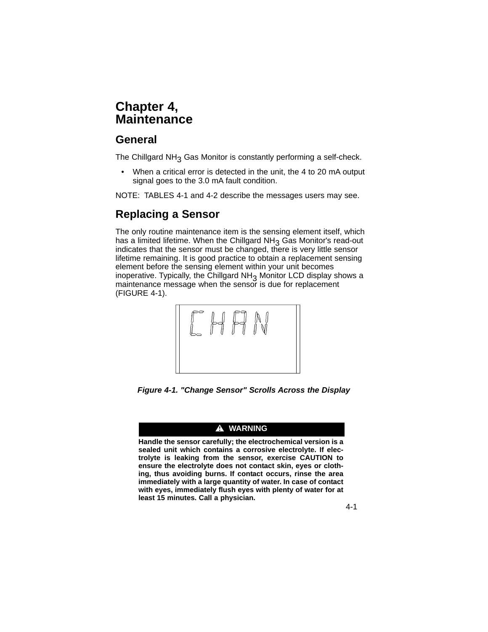# **Chapter 4, Maintenance**

### **General**

The Chillgard  $NH<sub>3</sub>$  Gas Monitor is constantly performing a self-check.

• When a critical error is detected in the unit, the 4 to 20 mA output signal goes to the 3.0 mA fault condition.

NOTE: TABLES 4-1 and 4-2 describe the messages users may see.

# **Replacing a Sensor**

The only routine maintenance item is the sensing element itself, which has a limited lifetime. When the Chillgard  $NH<sub>3</sub>$  Gas Monitor's read-out indicates that the sensor must be changed, there is very little sensor lifetime remaining. It is good practice to obtain a replacement sensing element before the sensing element within your unit becomes inoperative. Typically, the Chillgard  $NH<sub>3</sub>$  Monitor LCD display shows a maintenance message when the sensor is due for replacement (FIGURE 4-1).



*Figure 4-1. "Change Sensor" Scrolls Across the Display*

#### **A** WARNING

**Handle the sensor carefully; the electrochemical version is a sealed unit which contains a corrosive electrolyte. If electrolyte is leaking from the sensor, exercise CAUTION to ensure the electrolyte does not contact skin, eyes or clothing, thus avoiding burns. If contact occurs, rinse the area immediately with a large quantity of water. In case of contact with eyes, immediately flush eyes with plenty of water for at least 15 minutes. Call a physician.**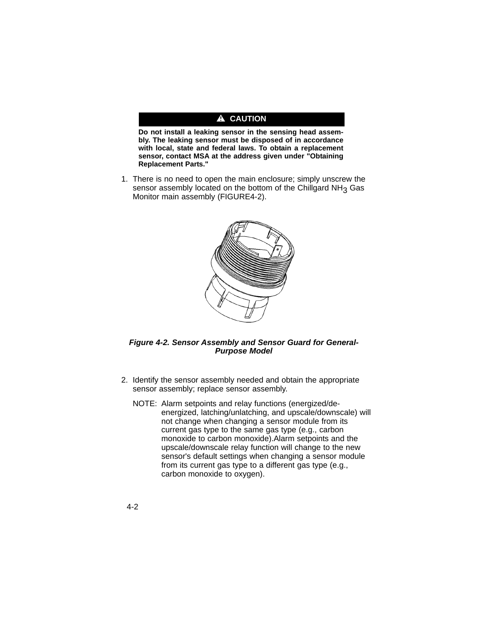#### A CAUTION

**Do not install a leaking sensor in the sensing head assembly. The leaking sensor must be disposed of in accordance with local, state and federal laws. To obtain a replacement sensor, contact MSA at the address given under "Obtaining Replacement Parts."**

1. There is no need to open the main enclosure; simply unscrew the sensor assembly located on the bottom of the Chillgard  $NH<sub>3</sub>$  Gas Monitor main assembly (FIGURE4-2).



#### *Figure 4-2. Sensor Assembly and Sensor Guard for General-Purpose Model*

- 2. Identify the sensor assembly needed and obtain the appropriate sensor assembly; replace sensor assembly.
	- NOTE: Alarm setpoints and relay functions (energized/deenergized, latching/unlatching, and upscale/downscale) will not change when changing a sensor module from its current gas type to the same gas type (e.g., carbon monoxide to carbon monoxide).Alarm setpoints and the upscale/downscale relay function will change to the new sensor's default settings when changing a sensor module from its current gas type to a different gas type (e.g., carbon monoxide to oxygen).

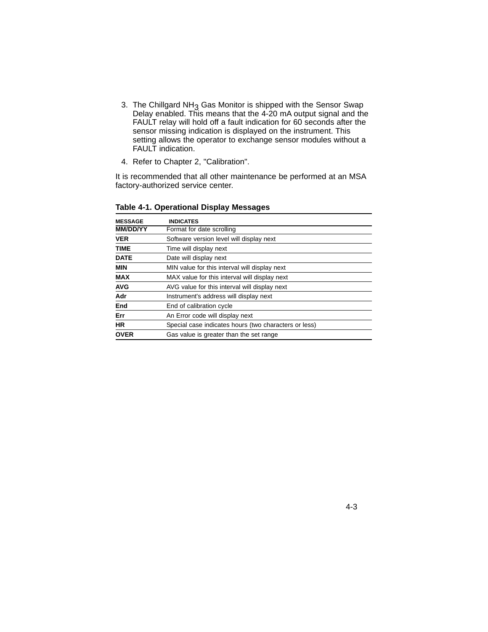- 3. The Chillgard NH3 Gas Monitor is shipped with the Sensor Swap Delay enabled. This means that the 4-20 mA output signal and the FAULT relay will hold off a fault indication for 60 seconds after the sensor missing indication is displayed on the instrument. This setting allows the operator to exchange sensor modules without a FAULT indication.
- 4. Refer to Chapter 2, "Calibration".

It is recommended that all other maintenance be performed at an MSA factory-authorized service center.

| <b>MESSAGE</b>  | <b>INDICATES</b>                                      |
|-----------------|-------------------------------------------------------|
| <b>MM/DD/YY</b> | Format for date scrolling                             |
| <b>VER</b>      | Software version level will display next              |
| <b>TIME</b>     | Time will display next                                |
| <b>DATE</b>     | Date will display next                                |
| <b>MIN</b>      | MIN value for this interval will display next         |
| <b>MAX</b>      | MAX value for this interval will display next         |
| <b>AVG</b>      | AVG value for this interval will display next         |
| Adr             | Instrument's address will display next                |
| End             | End of calibration cycle                              |
| Err             | An Error code will display next                       |
| <b>HR</b>       | Special case indicates hours (two characters or less) |
| <b>OVER</b>     | Gas value is greater than the set range               |

#### **Table 4-1. Operational Display Messages**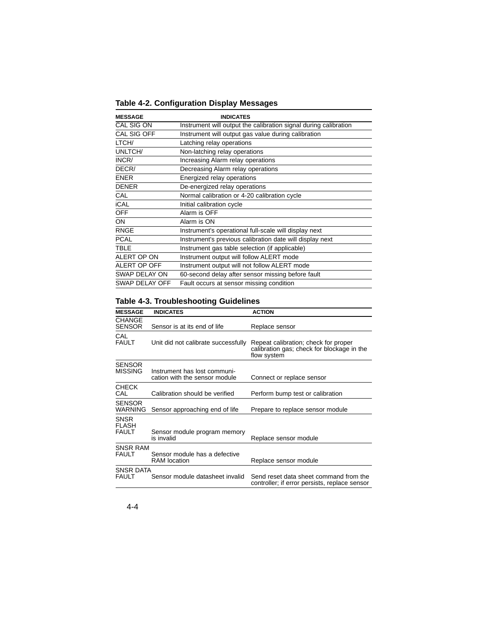| Table 4-2. Configuration Display Messages |  |
|-------------------------------------------|--|
|-------------------------------------------|--|

| <b>MESSAGE</b> | <b>INDICATES</b>                                                 |
|----------------|------------------------------------------------------------------|
| CAL SIG ON     | Instrument will output the calibration signal during calibration |
| CAL SIG OFF    | Instrument will output gas value during calibration              |
| LTCH/          | Latching relay operations                                        |
| UNLTCH/        | Non-latching relay operations                                    |
| INCR/          | Increasing Alarm relay operations                                |
| DECR/          | Decreasing Alarm relay operations                                |
| <b>ENER</b>    | Energized relay operations                                       |
| <b>DENER</b>   | De-energized relay operations                                    |
| CAL            | Normal calibration or 4-20 calibration cycle                     |
| <b>iCAL</b>    | Initial calibration cycle                                        |
| <b>OFF</b>     | Alarm is OFF                                                     |
| ON             | Alarm is ON                                                      |
| <b>RNGE</b>    | Instrument's operational full-scale will display next            |
| <b>PCAL</b>    | Instrument's previous calibration date will display next         |
| <b>TBLE</b>    | Instrument gas table selection (if applicable)                   |
| ALERT OP ON    | Instrument output will follow ALERT mode                         |
| ALERT OP OFF   | Instrument output will not follow ALERT mode                     |
| SWAP DELAY ON  | 60-second delay after sensor missing before fault                |
| SWAP DELAY OFF | Fault occurs at sensor missing condition                         |

### **Table 4-3. Troubleshooting Guidelines**

| <b>MESSAGE</b>                              | <b>INDICATES</b>                                              | <b>ACTION</b>                                                                                     |
|---------------------------------------------|---------------------------------------------------------------|---------------------------------------------------------------------------------------------------|
| <b>CHANGE</b><br><b>SENSOR</b>              | Sensor is at its end of life                                  | Replace sensor                                                                                    |
| CAL<br><b>FAULT</b>                         | Unit did not calibrate successfully                           | Repeat calibration; check for proper<br>calibration gas; check for blockage in the<br>flow system |
| <b>SENSOR</b><br><b>MISSING</b>             | Instrument has lost communi-<br>cation with the sensor module | Connect or replace sensor                                                                         |
| <b>CHECK</b><br>CAL                         | Calibration should be verified                                | Perform bump test or calibration                                                                  |
| <b>SENSOR</b><br><b>WARNING</b>             | Sensor approaching end of life                                | Prepare to replace sensor module                                                                  |
| <b>SNSR</b><br><b>FLASH</b><br><b>FAULT</b> | Sensor module program memory<br>is invalid                    | Replace sensor module                                                                             |
| SNSR RAM<br><b>FAULT</b>                    | Sensor module has a defective<br><b>RAM</b> location          | Replace sensor module                                                                             |
| SNSR DATA<br><b>FAULT</b>                   | Sensor module datasheet invalid                               | Send reset data sheet command from the<br>controller; if error persists, replace sensor           |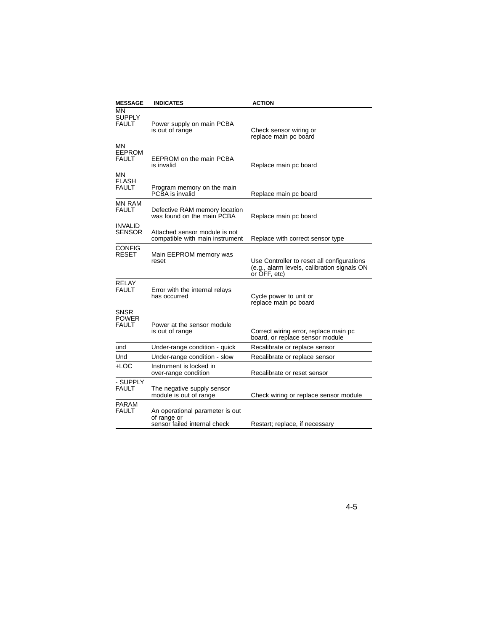| <b>MESSAGE</b>                              | <b>INDICATES</b>                                                               | <b>ACTION</b>                                                                                             |
|---------------------------------------------|--------------------------------------------------------------------------------|-----------------------------------------------------------------------------------------------------------|
| MN<br><b>SUPPLY</b><br><b>FAULT</b>         | Power supply on main PCBA<br>is out of range                                   | Check sensor wiring or<br>replace main pc board                                                           |
| MΝ<br><b>EEPROM</b><br><b>FAULT</b>         | EEPROM on the main PCBA<br>is invalid                                          | Replace main pc board                                                                                     |
| ΜN<br>FLASH<br><b>FAULT</b>                 | Program memory on the main<br>PCBA is invalid                                  | Replace main pc board                                                                                     |
| <b>MN RAM</b><br><b>FAULT</b>               | Defective RAM memory location<br>was found on the main PCBA                    | Replace main pc board                                                                                     |
| <b>INVALID</b><br>SENSOR                    | Attached sensor module is not<br>compatible with main instrument               | Replace with correct sensor type                                                                          |
| <b>CONFIG</b><br>RESET                      | Main EEPROM memory was<br>reset                                                | Use Controller to reset all configurations<br>(e.g., alarm levels, calibration signals ON<br>or OFF, etc) |
| <b>RELAY</b><br><b>FAULT</b>                | Error with the internal relays<br>has occurred                                 | Cycle power to unit or<br>replace main pc board                                                           |
| <b>SNSR</b><br><b>POWER</b><br><b>FAULT</b> | Power at the sensor module<br>is out of range                                  | Correct wiring error, replace main pc<br>board, or replace sensor module                                  |
| und                                         | Under-range condition - quick                                                  | Recalibrate or replace sensor                                                                             |
| Und                                         | Under-range condition - slow                                                   | Recalibrate or replace sensor                                                                             |
| +LOC                                        | Instrument is locked in<br>over-range condition                                | Recalibrate or reset sensor                                                                               |
| - SUPPLY<br><b>FAULT</b>                    | The negative supply sensor<br>module is out of range                           | Check wiring or replace sensor module                                                                     |
| PARAM<br><b>FAULT</b>                       | An operational parameter is out<br>of range or<br>sensor failed internal check | Restart; replace, if necessary                                                                            |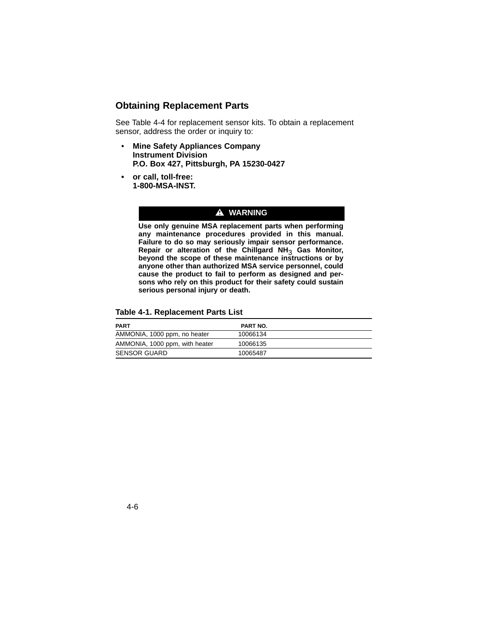### **Obtaining Replacement Parts**

See Table 4-4 for replacement sensor kits. To obtain a replacement sensor, address the order or inquiry to:

- **Mine Safety Appliances Company Instrument Division P.O. Box 427, Pittsburgh, PA 15230-0427**
- **or call, toll-free: 1-800-MSA-INST.**

#### **A** WARNING

**Use only genuine MSA replacement parts when performing any maintenance procedures provided in this manual. Failure to do so may seriously impair sensor performance. Repair or alteration of the Chillgard NH**3 **Gas Monitor, beyond the scope of these maintenance instructions or by anyone other than authorized MSA service personnel, could cause the product to fail to perform as designed and persons who rely on this product for their safety could sustain serious personal injury or death.**

#### **Table 4-1. Replacement Parts List**

| <b>PART</b>                    | <b>PART NO.</b> |
|--------------------------------|-----------------|
| AMMONIA, 1000 ppm, no heater   | 10066134        |
| AMMONIA, 1000 ppm, with heater | 10066135        |
| <b>SENSOR GUARD</b>            | 10065487        |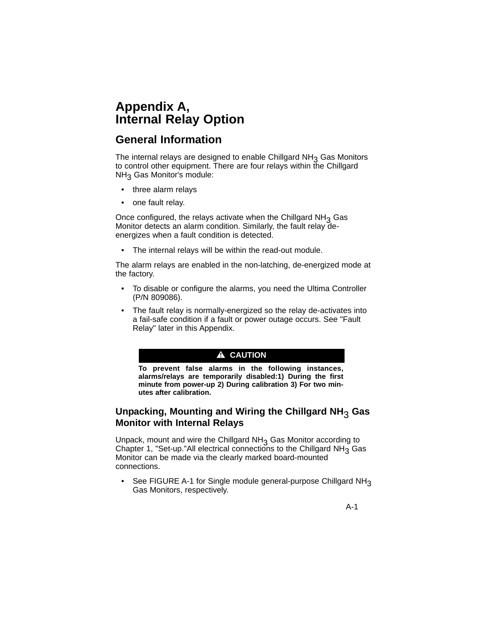# **Appendix A, Internal Relay Option**

## **General Information**

The internal relays are designed to enable Chillgard  $NH<sub>3</sub>$  Gas Monitors to control other equipment. There are four relays within the Chillgard NH<sub>3</sub> Gas Monitor's module:

- three alarm relays
- one fault relay.

Once configured, the relays activate when the Chillgard  $NH<sub>3</sub>$  Gas Monitor detects an alarm condition. Similarly, the fault relay deenergizes when a fault condition is detected.

• The internal relays will be within the read-out module.

The alarm relays are enabled in the non-latching, de-energized mode at the factory.

- To disable or configure the alarms, you need the Ultima Controller (P/N 809086).
- The fault relay is normally-energized so the relay de-activates into a fail-safe condition if a fault or power outage occurs. See "Fault Relay" later in this Appendix.

### A CAUTION

**To prevent false alarms in the following instances, alarms/relays are temporarily disabled:1) During the first minute from power-up 2) During calibration 3) For two minutes after calibration.**

### **Unpacking, Mounting and Wiring the Chillgard NH**3 **Gas Monitor with Internal Relays**

Unpack, mount and wire the Chillgard NH<sub>3</sub> Gas Monitor according to Chapter 1, "Set-up."All electrical connections to the Chillgard  $NH<sub>3</sub>$  Gas Monitor can be made via the clearly marked board-mounted connections.

• See FIGURE A-1 for Single module general-purpose Chillgard NH<sub>3</sub> Gas Monitors, respectively.

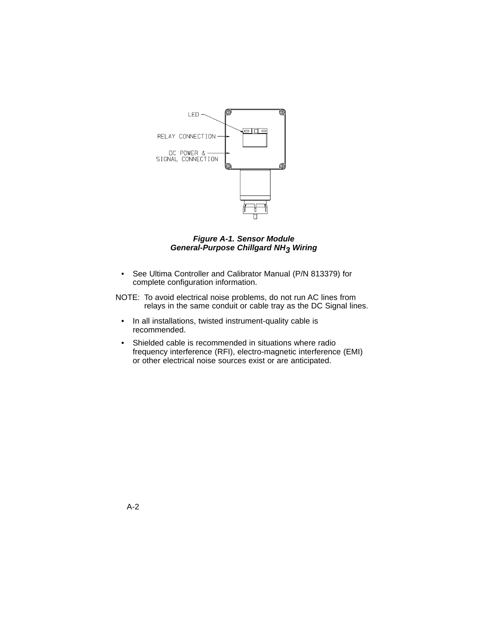

*Figure A-1. Sensor Module General-Purpose Chillgard NH3 Wiring*

- See Ultima Controller and Calibrator Manual (P/N 813379) for complete configuration information.
- NOTE: To avoid electrical noise problems, do not run AC lines from relays in the same conduit or cable tray as the DC Signal lines.
	- In all installations, twisted instrument-quality cable is recommended.
	- Shielded cable is recommended in situations where radio frequency interference (RFI), electro-magnetic interference (EMI) or other electrical noise sources exist or are anticipated.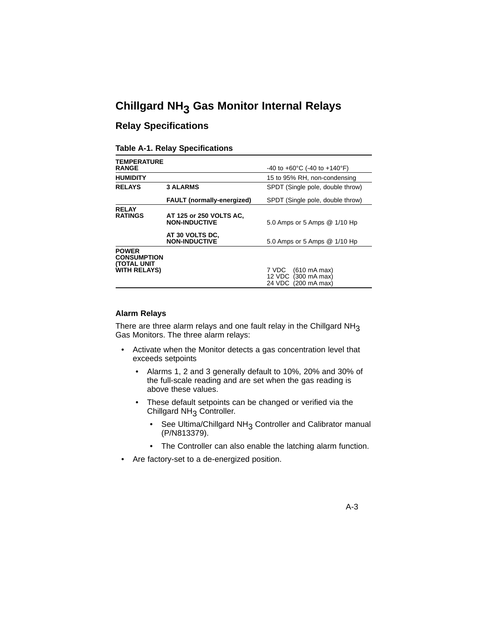# **Chillgard NH3 Gas Monitor Internal Relays**

### **Relay Specifications**

#### **Table A-1. Relay Specifications**

| <b>TEMPERATURE</b>                                        |                                                 |                                                                                              |
|-----------------------------------------------------------|-------------------------------------------------|----------------------------------------------------------------------------------------------|
| <b>RANGE</b>                                              |                                                 | $-40$ to $+60^{\circ}$ C (-40 to $+140^{\circ}$ F)                                           |
| <b>HUMIDITY</b>                                           |                                                 | 15 to 95% RH, non-condensing                                                                 |
| <b>RELAYS</b>                                             | <b>3 ALARMS</b>                                 | SPDT (Single pole, double throw)                                                             |
|                                                           | <b>FAULT</b> (normally-energized)               | SPDT (Single pole, double throw)                                                             |
| <b>RELAY</b><br><b>RATINGS</b>                            | AT 125 or 250 VOLTS AC.<br><b>NON-INDUCTIVE</b> | 5.0 Amps or 5 Amps @ 1/10 Hp                                                                 |
|                                                           | AT 30 VOLTS DC,<br><b>NON-INDUCTIVE</b>         | 5.0 Amps or 5 Amps @ 1/10 Hp                                                                 |
| <b>POWER</b><br><b>CONSUMPTION</b><br><b>(TOTAL UNIT)</b> |                                                 |                                                                                              |
| <b>WITH RELAYS)</b>                                       |                                                 | 7 VDC -<br>$(610 \text{ mA max})$<br>12 VDC (300 mA max)<br>24 VDC<br>$(200 \text{ mA max})$ |

#### **Alarm Relays**

There are three alarm relays and one fault relay in the Chillgard  $NH<sub>3</sub>$ Gas Monitors. The three alarm relays:

- Activate when the Monitor detects a gas concentration level that exceeds setpoints
	- Alarms 1, 2 and 3 generally default to 10%, 20% and 30% of the full-scale reading and are set when the gas reading is above these values.
	- These default setpoints can be changed or verified via the Chillgard  $NH<sub>3</sub>$  Controller.
		- See Ultima/Chillgard NH<sub>3</sub> Controller and Calibrator manual (P/N813379).
		- The Controller can also enable the latching alarm function.
- Are factory-set to a de-energized position.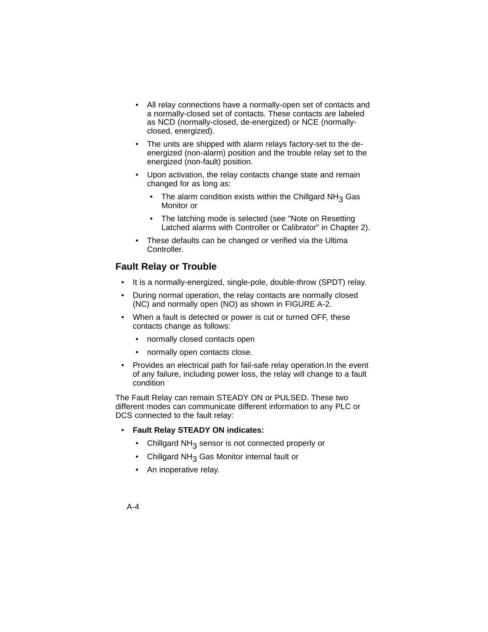- All relay connections have a normally-open set of contacts and a normally-closed set of contacts. These contacts are labeled as NCD (normally-closed, de-energized) or NCE (normallyclosed, energized).
- The units are shipped with alarm relays factory-set to the deenergized (non-alarm) position and the trouble relay set to the energized (non-fault) position.
- Upon activation, the relay contacts change state and remain changed for as long as:
	- The alarm condition exists within the Chillgard  $NH<sub>3</sub>$  Gas Monitor or
	- The latching mode is selected (see "Note on Resetting Latched alarms with Controller or Calibrator" in Chapter 2).
- These defaults can be changed or verified via the Ultima Controller.

### **Fault Relay or Trouble**

- It is a normally-energized, single-pole, double-throw (SPDT) relay.
- During normal operation, the relay contacts are normally closed (NC) and normally open (NO) as shown in FIGURE A-2.
- When a fault is detected or power is cut or turned OFF, these contacts change as follows:
	- normally closed contacts open
	- normally open contacts close.
- Provides an electrical path for fail-safe relay operation.In the event of any failure, including power loss, the relay will change to a fault condition

The Fault Relay can remain STEADY ON or PULSED. These two different modes can communicate different information to any PLC or DCS connected to the fault relay:

#### • **Fault Relay STEADY ON indicates:**

- Chillgard NH<sub>3</sub> sensor is not connected properly or
- Chillgard  $NH<sub>3</sub>$  Gas Monitor internal fault or
- An inoperative relay.
- A-4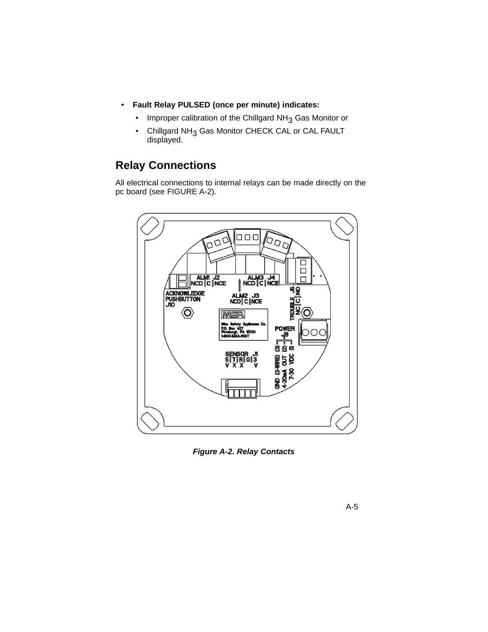- **Fault Relay PULSED (once per minute) indicates:**
	- Improper calibration of the Chillgard NH<sub>3</sub> Gas Monitor or
	- Chillgard NH<sub>3</sub> Gas Monitor CHECK CAL or CAL FAULT displayed.

# **Relay Connections**

All electrical connections to internal relays can be made directly on the pc board (see FIGURE A-2).



*Figure A-2. Relay Contacts*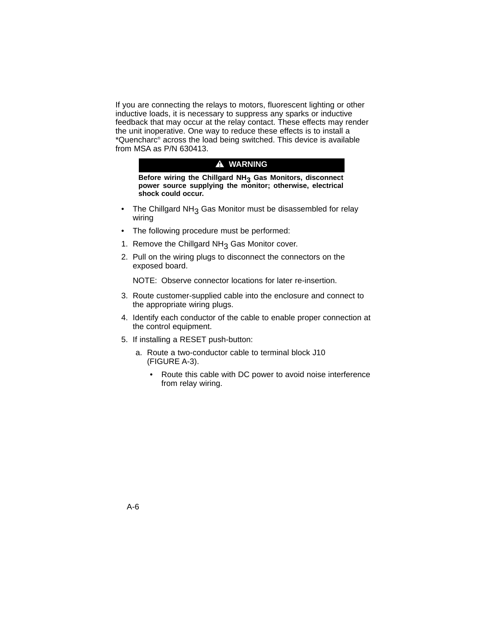If you are connecting the relays to motors, fluorescent lighting or other inductive loads, it is necessary to suppress any sparks or inductive feedback that may occur at the relay contact. These effects may render the unit inoperative. One way to reduce these effects is to install a \*Quencharc® across the load being switched. This device is available from MSA as P/N 630413.

### **A** WARNING

**Before wiring the Chillgard NH3 Gas Monitors, disconnect power source supplying the monitor; otherwise, electrical shock could occur.**

- The Chillgard NH<sub>3</sub> Gas Monitor must be disassembled for relay wiring
- The following procedure must be performed:
- 1. Remove the Chillgard  $NH<sub>3</sub>$  Gas Monitor cover.
- 2. Pull on the wiring plugs to disconnect the connectors on the exposed board.

NOTE: Observe connector locations for later re-insertion.

- 3. Route customer-supplied cable into the enclosure and connect to the appropriate wiring plugs.
- 4. Identify each conductor of the cable to enable proper connection at the control equipment.
- 5. If installing a RESET push-button:
	- a. Route a two-conductor cable to terminal block J10 (FIGURE A-3).
		- Route this cable with DC power to avoid noise interference from relay wiring.